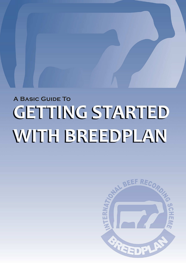# **A BASIC GUIDE TO GETTING STARTED** WITH BREEDPLAN

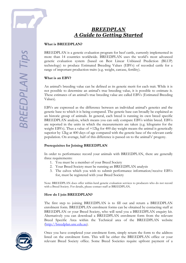

# *BREEDPLAN A Guide to Getting Started*

# **What is BREEDPLAN?**

BREEDPLAN is a genetic evaluation program for beef cattle, currently implemented in more than 14 countries worldwide. BREEDPLAN uses the world's most advanced genetic evaluation system (based on Best Linear Unbiased Prediction (BLUP) technology) to produce Estimated Breeding Values (EBVs) of recorded cattle for a range of important production traits (e.g. weight, carcase, fertility).

#### **What is an EBV?**

An animal's breeding value can be defined as its genetic merit for each trait. While it is not possible to determine an animal's true breeding value, it is possible to estimate it. These estimates of an animal's true breeding value are called EBVs (Estimated Breeding Values).

EBVs are expressed as the difference between an individual animal's genetics and the genetic base to which it is being compared. The genetic base can broadly be explained as an historic group of animals. In general, each breed is running its own breed specific BREEDPLAN analysis, which means you can only compare EBVs within breed. EBVs are reported in the units in which the measurements are taken (e.g. kilograms for the weight EBVs). Thus a value of +12kg for 400 day weight means the animal is genetically superior by 12kg at 400 days of age compared with the genetic base of the relevant cattle population. On average, half of this difference is passed on to the animal's' progeny.

# **Prerequisites for Joining BREEDPLAN**

In order to performance record your animals with BREEDPLAN, there are generally three requirements:

- 1. You must be a member of your Breed Society
- 2. Your Breed Society must be running an BREEDPLAN analysis
- 3. The calves which you wish to submit performance information/receive EBVs for, must be registered with your Breed Society

Note: BREEDPLAN does offer within-herd genetic evaluation services to producers who do not record with a Breed Society. For details, please contact staff at BREEDPLAN.

# **How do I join BREEDPLAN?**

The first step to joining BREEDPLAN is to fill out and return a BREEDPLAN enrolment form. BREEDPLAN enrolment forms can be obtained by contacting staff at BREEDPLAN or your Breed Society, who will send you a BREEDPLAN enquiry kit. Alternatively you can download a BREEDPLAN enrolment form from the relevant Breed Specific Area within the Technical area of the BREEDPLAN website [\(http://breedplan.une.edu.au\)](http://breedplan.une.edu.au/).



Once you have completed your enrolment form, simply return the form to the address listed on the enrolment form. This will be either the BREEDPLAN office or your relevant Breed Society office. Some Breed Societies require upfront payment of a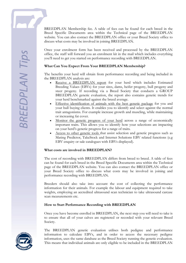Breed Specific Documents area within the Technical page of the BREEDPLAN website. You can also contact the BREEDPLAN office or your Breed Society office to discuss what costs may be involved in joining BREEDPLAN. Once your enrolment form has been received and processed by the BREEDPLAN office, the staff will forward you an enrolment kit in the mail which includes everything you'll need to get you started on performance recording with BREEDPLAN.

# **What Can You Expect From Your BREEDPLAN Membership?**

The benefits your herd will obtain from performance recording and being included in the BREEDPLAN analysis are:

BREEDPLAN Membership fee. A table of fees can be found for each breed in the

- Receive a BREEDPLAN report for your herd which includes Estimated Breeding Values (EBVs) for your sires, dams, heifer progeny, bull progeny and steer progeny. If recording via a Breed Society that conducts a GROUP BREEDPLAN genetic evaluation, the report also contains genetic trends for your herd benchmarked against the breed average.
- Effective identification of animals with the best genetic package for you and your bull buying clients. It enables you to identify and select against the normal trait antagonisms. For example increase growth and muscling, while maintaining or increasing fat cover.
- Monitor the genetic progress of your herd across a range of economically important traits. This allows you to identify how your selections are impacting on your herd's genetic progress for a range of traits.
- Access to other genetic tools that assist selection and genetic progress such as Mating Predictor, TakeStock and Internet Solutions EBV related functions (e.g EBV enquiry or sale catalogues with EBVs displayed).

#### **What costs are involved in BREEDPLAN?**

The cost of recording with BREEDPLAN differs from breed to breed. A table of fees can be found for each breed in the Breed Specific Documents area within the Technical page of the BREEDPLAN website. You can also contact the BREEDPLAN office or your Breed Society office to discuss what costs may be involved in joining and performance recording with BREEDPLAN.

Breeders should also take into account the cost of collecting the performance information for their animals. For example the labour and equipment required to take weights, employing an accredited ultrasound scan technician to take ultrasound carcase scan measurements etc.

# **How to Start Performance Recording with BREEDPLAN**

Once you have become enrolled in BREEDPLAN, the next step you will need to take is to ensure that all of your calves are registered or recorded with your relevant Breed Society.



The BREEDPLAN genetic evaluation utilises both pedigree and performance information to calculate EBVs, and in order to access the necessary pedigree information, uses the same database as the Breed Society running the genetic evaluation. This means that individual animals are only eligible to be included in the BREEDPLAN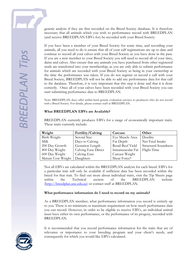genetic analysis if they are first recorded on the Breed Society database. It is therefore necessary that all animals which you wish to performance record with BREEDPLAN (and receive BREEDPLAN EBVs for) be recorded with your Breed Society.

If you have been a member of your Breed Society for some time, and recording your animals, all you need to do is ensure that all of your calf registrations are up to date and continue to record all your calves with your Breed Society as you have done in the past. If you are a new member to your Breed Society you will need to record all of your sires, dams and calves. Also ensure that any animals you have purchased from other registered studs are transferred into your membership, as you are only able to submit performance for animals which are recorded with your Breed Society as being in your ownership at the time the performance was taken. If you do not register or record a calf with your Breed Society, BREEDPLAN will not be able to add any performance data for that calf to the database. Therefore, it is very important that this step is done and that it is done correctly. Once all of your calves have been recorded with your Breed Society you can start submitting performance data to BREEDPLAN.

Note: BREEDPLAN does offer within-herd genetic evaluation services to producers who do not record with a Breed Society. For details, please contact staff at BREEDPLAN.

#### **What BREEDPLAN EBVs are Available?**

BREEDPLAN currently produces EBVs for a range of economically important traits. These traits currently include:

| Weight            | Fertility/Calving          | Carcase           | Other                       |
|-------------------|----------------------------|-------------------|-----------------------------|
| Birth Weight      | Scrotal Size               | Eye Muscle Area   | Docility                    |
| Milk              | Days to Calving            | Fat Depth         | Net Feed Intake             |
| 200 Day Growth    | Gestation Length           | Retail Beef Yield | <b>Structural Soundness</b> |
| 400 Day Weight    | <b>Calving Ease Direct</b> | Intramuscular Fat | Flight Time                 |
| 600 Day Weight    | Calving Ease               | Carcase Weight    |                             |
| Mature Cow Weight | Daughters                  | Shear Force*      |                             |

Not all EBVs are calculated within the BREEDPLAN analysis for each breed. EBVs for a particular trait will only be available if sufficient data has been recorded within the breed for that trait. To find out more about individual traits, visit the Tip Sheets page within the Technical section of the BREEDPLAN website [\(http://breedplan.une.edu.au\)](http://breedplan.une.edu.au/) or contact staff at BREEDPLAN.

# **What performance information do I need to record on my animals?**

As a BREEDPLAN member, what performance information you record is entirely up to you. There is no minimum or maximum requirement on how much performance data you can record. However, in order to be eligible to receive EBVs, an individual animal must have either its own performance, or the performance of its progeny, recorded with BREEDPLAN.

It is recommended that you record performance information for the traits that are of relevance or importance to your breeding program and your client's needs, and consequently for which you would like EBVs calculated.

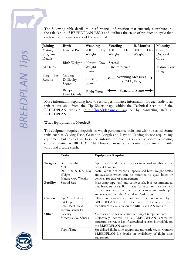

The following table details the performance information that currently contributes to the calculation of BREEDPLAN EBVs and outlines the stage of production cycle that each set of information should be recorded.

| Joining                 | <b>Birth</b>                    | Weaning           |                 | Yearling                                                     |     | 18 Months                 |                 | Maturity   |
|-------------------------|---------------------------------|-------------------|-----------------|--------------------------------------------------------------|-----|---------------------------|-----------------|------------|
| Mating                  | Date of Birth                   | 200               | $\mathbf{D}$ ay | 400                                                          | Day | 600                       | $\mathbf{D}$ ay | Cow        |
| Program                 |                                 | Weight            |                 | Weight                                                       |     | Weight                    |                 | Disposal   |
| Details                 |                                 |                   |                 |                                                              |     |                           |                 | Code       |
|                         | Birth Weight                    | Mature Cow        |                 | Scrotal                                                      |     |                           |                 |            |
| AI Dates                |                                 | Weight            |                 | Circumference                                                |     |                           |                 | Mature Cow |
|                         |                                 | (dams)            |                 |                                                              |     |                           |                 | Weight     |
| Test<br>Preg<br>Results | Calving<br>Difficulty<br>Scores | Docility<br>Score |                 | $\frac{1}{2}$ Scanning Measures $\rightarrow$<br>(EMA, Fats, |     |                           |                 |            |
|                         | Recipient<br>Dam Details        | Flight Time       |                 |                                                              |     | <b>Structural Score -</b> |                 |            |

More information regarding how to record performance information for each individual trait is available from the Tip Sheets page within the Technical section of the BREEDPLAN website [\(http://breedplan.une.edu.au\)](http://breedplan.une.edu.au/) or by contacting staff at BREEDPLAN.

# **What Equipment is Needed?**

The equipment required depends on which performance traits you wish to record. Some traits such as Calving Ease, Gestation Length and Days to Calving do not require any equipment but instead are based on information such as subjective scores or joining dates submitted to BREEDPLAN. However most traits require at a minimum cattle yards and a cattle crush.

|           | <b>Traits</b>               | <b>Equipment Required</b>                                       |
|-----------|-----------------------------|-----------------------------------------------------------------|
|           |                             |                                                                 |
| Weights   | Birth Weight                | Appropriate and accurate scales to record weights to the        |
|           | Milk                        | nearest kilogram.                                               |
|           | 200, 400 & 600 Day          | Note: While not essential, specialised birth weight scales      |
|           | Weight                      | are available which can be mounted to quad bikes or             |
|           | Mature Cow Weight           | vehicles for ease of management                                 |
| Fertility | Scrotal Size                | Measuring tape (cm) and cattle crush. It is recommended         |
|           |                             | that breeders use a Barth tape for accurate measurement         |
|           |                             | of the scrotal circumference to the nearest cm. Barth tapes     |
|           |                             | are available from the Australian Cattle Vets.                  |
| Carcase   | Eye Muscle Area             | Ultrasound carcass scanning must be undertaken by a             |
|           | Fat Depth                   | BREEDPLAN accredited technician. A list of accredited           |
|           | Retail Beef Yield           | technicians is available on the BREEDPLAN website.              |
|           | Intramuscular Fat           |                                                                 |
| Other     | Docility                    | Yards or crush for objective scoring of temperament             |
|           | <b>Structural Soundness</b> | Objectively scored by a BREEDPLAN accredited                    |
|           |                             | structural scorer. A list of accredited scorers is available on |
|           |                             | the BREEDPLAN website.                                          |
|           | Flight Time                 | Specialised flight time equipment and cattle crush. Contact     |
|           |                             | BREEDPLAN for details on availability of flight time            |
|           |                             | equipment.                                                      |

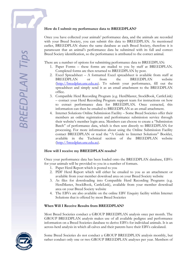#### **How do I submit my performance data to BREEDPLAN?**

Once you have collected your animals' performance data, and the animals are recorded with your Breed Society, you can submit this data to BREEDPLAN. As mentioned earlier, BREEDPLAN shares the same database as each Breed Society, therefore it is paramount that an animal's performance data be submitted with its full and correct Breed Society identification, so the performance is attributed to the correct animal.

There are a number of options for submitting performance data to BREEDPLAN:

- 1. Paper Forms these forms are mailed to you by staff at BREEDPLAN. Completed forms are then returned to BREEDPLAN by post.
- 2. Excel Spreadsheet A formatted Excel spreadsheet is available from staff at BREEDPLAN or from the BREEDPLAN website [\(http://breedplan.une.edu.au\)](http://breedplan.une.edu.au/). To submit your performance, fill out the spreadsheet and simply send it as an email attachment to the BREEDPLAN office.
- 3. Compatible Herd Recording Program (e.g. HerdMaster, StockBook, CattleLink) – contact your Herd Recording Program support team for instructions on how to extract performance data for BREEDPLAN. Once extracted, this information can then be emailed to BREEDPLAN as an email attachment.
- 4. Internet Solutions Online Submission Facility Some Breed Societies offer their members an online registration and performance submission service through their website's member login area. Members can choose to create a "Submission Batch" of performance data, which is then sent directly to BREEDPLAN for processing. For more information about using the Online Submission Facility contact BREEDPLAN or read the "A Guide to Internet Solutions" Booklet, available in the Technical section of the BREEDPLAN website [\(http://breedplan.une.edu.au\)](http://breedplan.une.edu.au/).

#### **How will I receive my BREEDPLAN results?**

Once your performance data has been loaded onto the BREEDPLAN database, EBVs for your animals will be provided to you in a number of formats.

- 1. Paper Herd Report which is posted to you
- 2. PDF Herd Report which will either be emailed to you as an attachment or available from your member download area on your Breed Society website
- 3. As files for downloading into Compatible Herd Recording Programs (e.g. HerdMaster, StockBook, CattleLink), available from your member download area on your Breed Society website
- 4. The EBVs are also available on the online EBV Enquiry facility within Internet Solutions that is offered by most Breed Societies

#### **When Will I Receive Results from BREEDPLAN?**

Most Breed Societies conduct a GROUP BREEDPLAN analysis once per month. The GROUP BREEDPLAN analysis makes use of all available pedigree and performance information on a Breed Societies database to derive EBVs for individual animals. It is an across-herd analysis in which all calves and their parents have their EBVs calculated.



Some Breed Societies do not conduct a GROUP BREEDPLAN analysis monthly, but rather conduct only one or two GROUP BREEDPLAN analyses per year. Members of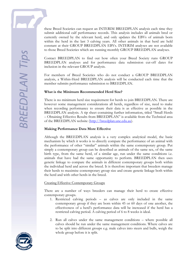these Breed Societies can request an INTERIM BREEDPLAN analysis each time they submit additional calf performance records. This analysis includes all animals bred or currently owned by the relevant herd, and only updates the EBVs of animals born within the herd in the last 3 calving years. All other animals in that herd are held constant at their GROUP BREEDPLAN EBVs. INTERIM analyses are not available to those Breed Societies which are running monthly GROUP BREEDPLAN analyses.

Contact BREEDPLAN to find out how often your Breed Society runs GROUP BREEDPLAN analyses and for performance data submission cut-off dates for inclusion in the relevant GROUP analysis.

For members of Breed Societies who do not conduct a GROUP BREEDPLAN analysis, a Within-Herd BREEDPLAN analysis will be conducted each time that the member submits performance submission to BREEDPLAN.

#### **What is the Minimum Recommended Herd Size?**

There is no minimum herd size requirement for herds to join BREEDPLAN. There are however some management considerations all herds, regardless of size, need to make when recording performance to ensure their data is as effective as possible in the BREEDPLAN analysis. A tip sheet containing further information, titled "Small Herds – Obtaining Effective Results from BREEDPLAN" is available from the Technical area of the BREEDPLAN website [\(http://breedplan.une.edu.au\)](http://breedplan.une.edu.au/).

#### **Making Performance Data More Effective**

Although the BREEDPLAN analysis is a very complex analytical model, the basic mechanism by which it works is to directly compare the performance of an animal with the performance of other "similar" animals within the same contemporary group. Put simply a contemporary group can be described as animals of the same sex, of the same birth type, from the same herd, of a similar age, run under the same conditions i.e. animals that have had the same opportunity to perform. BREEDPLAN then uses genetic linkage to compare the animals in different contemporary groups both within the individual herd and across the breed. It is therefore important that breeders manage their herds to maximise contemporary group size and create genetic linkage both within the herd and with other herds in the breed.

#### Creating Effective Contemporary Groups

There are a number of ways breeders can manage their herd to create effective contemporary groups.

- 1. Restricted calving periods as calves are only included in the same contemporary group if they are born within 45 or 60 days of one another, the effectiveness of a herd's performance data will be increased if the herd has a restricted calving period. A calving period of 6 to 8 weeks is ideal.
- 2. Run all calves under the same management conditions where possible all calves should be run under the same management conditions. Where calves are to be split into different groups e.g. male calves into steers and bulls, weigh the whole group before it is split.